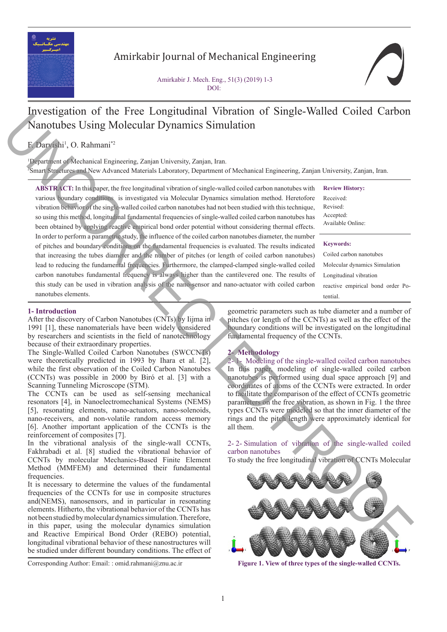

# Amirkabir Journal of Mechanical Engineering

Amirkabir J. Mech. Eng., 51(3) (2019) 1-3 DOI:

# Investigation of the Free Longitudinal Vibration of Single-Walled Coiled Carbon Nanotubes Using Molecular Dynamics Simulation

# F. Darvishi<sup>1</sup>, O. Rahmani<sup>\*2</sup>

1 Department of Mechanical Engineering, Zanjan University, Zanjan, Iran. 2 Smart Structures and New Advanced Materials Laboratory, Department of Mechanical Engineering, Zanjan University, Zanjan, Iran.

**ABSTRACT:** In this paper, the free longitudinal vibration of single-walled coiled carbon nanotubes with various boundary conditions is investigated via Molecular Dynamics simulation method. Heretofore vibration behavior of the single-walled coiled carbon nanotubes had not been studied with this technique, so using this method, longitudinal fundamental frequencies of single-walled coiled carbon nanotubes has been obtained by applying reactive empirical bond order potential without considering thermal effects. In order to perform a parametric study, the influence of the coiled carbon nanotubes diameter, the number of pitches and boundary conditions on the fundamental frequencies is evaluated. The results indicated that increasing the tubes diameter and the number of pitches (or length of coiled carbon nanotubes) lead to reducing the fundamental frequencies. Furthermore, the clamped-clamped single-walled coiled carbon nanotubes fundamental frequency is always higher than the cantilevered one. The results of this study can be used in vibration analysis of the nano-sensor and nano-actuator with coiled carbon nanotubes elements. We consider the two strengthenial temperature version in the constraints of the constraints of the constraints of the constraints of the constraints of the constraints of the constraints of the constraints of the constrai

### **1- Introduction**

After the discovery of Carbon Nanotubes (CNTs) by Iijma in 1991 [1], these nanomaterials have been widely considered by researchers and scientists in the field of nanotechnology because of their extraordinary properties.

The Single-Walled Coiled Carbon Nanotubes (SWCCNTs) were theoretically predicted in 1993 by Ihara et al. [2], while the first observation of the Coiled Carbon Nanotubes (CCNTs) was possible in 2000 by Biró et al. [3] with a Scanning Tunneling Microscope (STM).

The CCNTs can be used as self-sensing mechanical resonators [4], in Nanoelectromechanical Systems (NEMS) [5], resonating elements, nano-actuators, nano-solenoids, nano-receivers, and non-volatile random access memory [6]. Another important application of the CCNTs is the reinforcement of composites [7].

In the vibrational analysis of the single-wall CCNTs, Fakhrabadi et al. [8] studied the vibrational behavior of CCNTs by molecular Mechanics-Based Finite Element Method (MMFEM) and determined their fundamental frequencies.

It is necessary to determine the values of the fundamental frequencies of the CCNTs for use in composite structures and(NEMS), nanosensors, and in particular in resonating elements. Hitherto, the vibrational behavior of the CCNTs has not been studied by molecular dynamics simulation. Therefore, in this paper, using the molecular dynamics simulation and Reactive Empirical Bond Order (REBO) potential, longitudinal vibrational behavior of these nanostructures will be studied under different boundary conditions. The effect of

Corresponding Author: Email: : omid.rahmani@znu.ac.ir **Figure 1. View of three types of the single-walled CCNTs.**

**Review History:** Received: Revised: Accepted: Available Online: **Keywords:** Coiled carbon nanotubes Molecular dynamics Simulation Longitudinal vibration reactive empirical bond order Po-

geometric parameters such as tube diameter and a number of pitches (or length of the CCNTs) as well as the effect of the boundary conditions will be investigated on the longitudinal fundamental frequency of the CCNTs.

tential.

## **2- Methodology**

2- 1- Modeling of the single-walled coiled carbon nanotubes In this paper, modeling of single-walled coiled carbon nanotubes is performed using dual space approach [9] and coordinates of atoms of the CCNTs were extracted. In order to facilitate the comparison of the effect of CCNTs geometric parameters on the free vibration, as shown in Fig. 1 the three types CCNTs were modeled so that the inner diameter of the rings and the pitch length were approximately identical for all them.

2- 2- Simulation of vibration of the single-walled coiled carbon nanotubes

To study the free longitudinal vibration of CCNTs Molecular

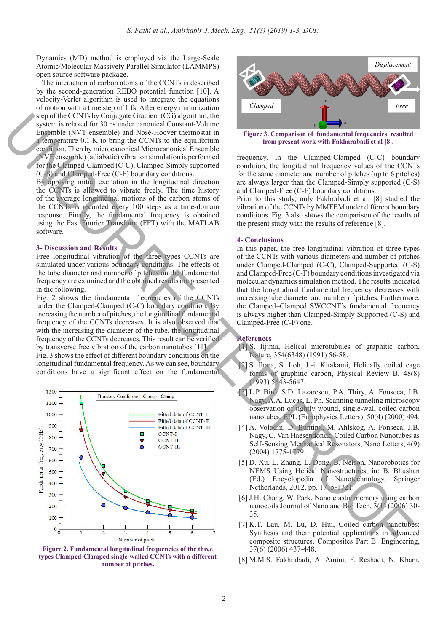Dynamics (MD) method is employed via the Large-Scale Atomic/Molecular Massively Parallel Simulator (LAMMPS) open source software package.

 The interaction of carbon atoms of the CCNTs is described by the second-generation REBO potential function [10]. A velocity-Verlet algorithm is used to integrate the equations of motion with a time step of 1 fs. After energy minimization step of the CCNTs by Conjugate Gradient (CG) algorithm, the system is relaxed for 30 ps under canonical Constant-Volume Ensemble (NVT ensemble) and Nosé-Hoover thermostat in a temperature 0.1 K to bring the CCNTs to the equilibrium condition. Then by microcanonical Microcanonical Ensemble (NVE ensemble) (adiabatic) vibration simulation is performed for the Clamped-Clamped (C-C), Clamped-Simply supported (C-S) and Clamped-Free (C-F) boundary conditions.

By applying initial excitation in the longitudinal direction the CCNTs is allowed to vibrate freely. The time history of the average longitudinal motions of the carbon atoms of the CCNTs is recorded every 100 steps as a time-domain response. Finally, the fundamental frequency is obtained using the Fast Fourier Transform (FFT) with the MATLAB software.

#### **3- Discussion and Results**

Free longitudinal vibration of the three types CCNTs are simulated under various boundary conditions. The effects of the tube diameter and number of pitches on the fundamental frequency are examined and the obtained results are presented in the following.

Fig. 2 shows the fundamental frequencies of the CCNTs under the Clamped-Clamped (C-C) boundary condition. By increasing the number of pitches, the longitudinal fundamental frequency of the CCNTs decreases. It is also observed that with the increasing the diameter of the tube, the longitudinal frequency of the CCNTs decreases. This result can be verified by transverse free vibration of the carbon nanotubes [11]. Fig. 3 shows the effect of different boundary conditions on the longitudinal fundamental frequency. As we can see, boundary conditions have a significant effect on the fundamental



**Figure 2. Fundamental longitudinal frequencies of the three types Clamped-Clamped single-walled CCNTs with a different number of pitches.**



**from present work with Fakharabadi et al [8].**

frequency. In the Clamped-Clamped (C-C) boundary condition, the longitudinal frequency values of the CCNTs for the same diameter and number of pitches (up to 6 pitches) are always larger than the Clamped-Simply supported (C-S) and Clamped-Free (C-F) boundary conditions.

Prior to this study, only Fakhrabadi et al. [8] studied the vibration of the CCNTs by MMFEM under different boundary conditions. Fig. 3 also shows the comparison of the results of the present study with the results of reference [8].

### **4- Conclusions**

In this paper, the free longitudinal vibration of three types of the CCNTs with various diameters and number of pitches under Clamped-Clamped (C-C), Clamped-Supported (C-S) and Clamped-Free (C-F) boundary conditions investigated via molecular dynamics simulation method. The results indicated that the longitudinal fundamental frequency decreases with increasing tube diameter and number of pitches. Furthermore, the Clamped–Clamped SWCCNT's fundamental frequency is always higher than Clamped-Simply Supported (C-S) and Clamped-Free (C-F) one.

### **References**

- [1] S. Iijima, Helical microtubules of graphitic carbon, Nature, 354(6348) (1991) 56-58.
- [2] S. Ihara, S. Itoh, J.-i. Kitakami, Helically coiled cage forms of graphitic carbon, Physical Review B, 48(8) (1993) 5643-5647.
- [3] L.P. Biró, S.D. Lazarescu, P.A. Thiry, A. Fonseca, J.B. Nagy, A.A. Lucas, L. Ph, Scanning tunneling microscopy observation of tightly wound, single-wall coiled carbon nanotubes, EPL (Europhysics Letters), 50(4) (2000) 494.
- [4] A. Volodin, D. Buntinx, M. Ahlskog, A. Fonseca, J.B. Nagy, C. Van Haesendonck, Coiled Carbon Nanotubes as Self-Sensing Mechanical Resonators, Nano Letters, 4(9) (2004) 1775-1779.
- [5] D. Xu, L. Zhang, L. Dong, B. Nelson, Nanorobotics for NEMS Using Helical Nanostructures, in: B. Bhushan (Ed.) Encyclopedia of Nanotechnology, Springer Netherlands, 2012, pp. 1715-1721.
- [6] J.H. Chang, W. Park, Nano elastic memory using carbon nanocoils Journal of Nano and Bio Tech, 3(1) (2006) 30- 35.
- [7] K.T. Lau, M. Lu, D. Hui, Coiled carbon nanotubes: Synthesis and their potential applications in advanced composite structures, Composites Part B: Engineering, 37(6) (2006) 437-448.
- [8] M.M.S. Fakhrabadi, A. Amini, F. Reshadi, N. Khani,